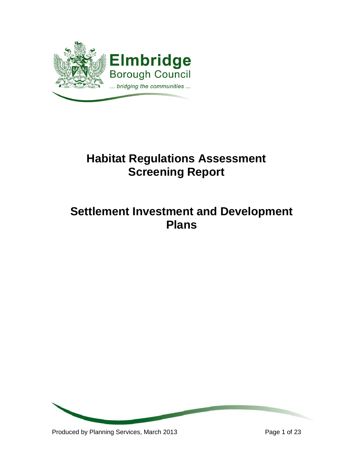

# **Habitat Regulations Assessment Screening Report**

# **Settlement Investment and Development Plans**

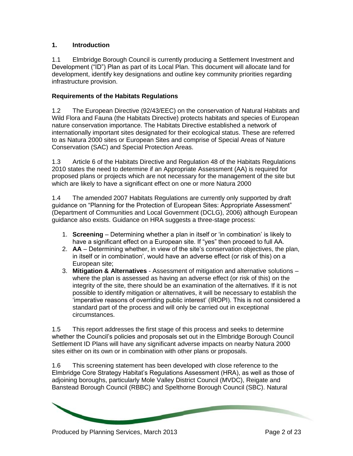## **1. Introduction**

1.1 Elmbridge Borough Council is currently producing a Settlement Investment and Development ("ID") Plan as part of its Local Plan. This document will allocate land for development, identify key designations and outline key community priorities regarding infrastructure provision.

## **Requirements of the Habitats Regulations**

1.2 The European Directive (92/43/EEC) on the conservation of Natural Habitats and Wild Flora and Fauna (the Habitats Directive) protects habitats and species of European nature conservation importance. The Habitats Directive established a network of internationally important sites designated for their ecological status. These are referred to as Natura 2000 sites or European Sites and comprise of Special Areas of Nature Conservation (SAC) and Special Protection Areas.

1.3 Article 6 of the Habitats Directive and Regulation 48 of the Habitats Regulations 2010 states the need to determine if an Appropriate Assessment (AA) is required for proposed plans or projects which are not necessary for the management of the site but which are likely to have a significant effect on one or more Natura 2000

1.4 The amended 2007 Habitats Regulations are currently only supported by draft guidance on "Planning for the Protection of European Sites: Appropriate Assessment" (Department of Communities and Local Government (DCLG), 2006) although European guidance also exists. Guidance on HRA suggests a three-stage process:

- 1. **Screening** Determining whether a plan in itself or 'in combination' is likely to have a significant effect on a European site. If "yes" then proceed to full AA.
- 2. **AA**  Determining whether, in view of the site's conservation objectives, the plan, in itself or in combination', would have an adverse effect (or risk of this) on a European site;
- 3. **Mitigation & Alternatives**  Assessment of mitigation and alternative solutions where the plan is assessed as having an adverse effect (or risk of this) on the integrity of the site, there should be an examination of the alternatives. If it is not possible to identify mitigation or alternatives, it will be necessary to establish the 'imperative reasons of overriding public interest' (IROPI). This is not considered a standard part of the process and will only be carried out in exceptional circumstances.

1.5 This report addresses the first stage of this process and seeks to determine whether the Council's policies and proposals set out in the Elmbridge Borough Council Settlement ID Plans will have any significant adverse impacts on nearby Natura 2000 sites either on its own or in combination with other plans or proposals.

1.6 This screening statement has been developed with close reference to the Elmbridge Core Strategy Habitat's Regulations Assessment (HRA), as well as those of adjoining boroughs, particularly Mole Valley District Council (MVDC), Reigate and Banstead Borough Council (RBBC) and Spelthorne Borough Council (SBC). Natural

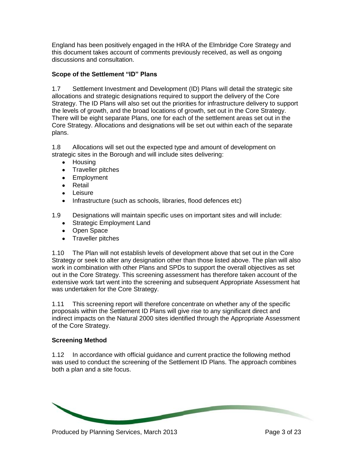England has been positively engaged in the HRA of the Elmbridge Core Strategy and this document takes account of comments previously received, as well as ongoing discussions and consultation.

## **Scope of the Settlement "ID" Plans**

1.7 Settlement Investment and Development (ID) Plans will detail the strategic site allocations and strategic designations required to support the delivery of the Core Strategy. The ID Plans will also set out the priorities for infrastructure delivery to support the levels of growth, and the broad locations of growth, set out in the Core Strategy. There will be eight separate Plans, one for each of the settlement areas set out in the Core Strategy. Allocations and designations will be set out within each of the separate plans.

1.8 Allocations will set out the expected type and amount of development on strategic sites in the Borough and will include sites delivering:

- Housing
- Traveller pitches
- Employment
- Retail
- **•** Leisure
- Infrastructure (such as schools, libraries, flood defences etc)

1.9 Designations will maintain specific uses on important sites and will include:

- Strategic Employment Land
- Open Space
- Traveller pitches

1.10 The Plan will not establish levels of development above that set out in the Core Strategy or seek to alter any designation other than those listed above. The plan will also work in combination with other Plans and SPDs to support the overall objectives as set out in the Core Strategy. This screening assessment has therefore taken account of the extensive work tart went into the screening and subsequent Appropriate Assessment hat was undertaken for the Core Strategy.

1.11 This screening report will therefore concentrate on whether any of the specific proposals within the Settlement ID Plans will give rise to any significant direct and indirect impacts on the Natural 2000 sites identified through the Appropriate Assessment of the Core Strategy.

#### **Screening Method**

1.12 In accordance with official guidance and current practice the following method was used to conduct the screening of the Settlement ID Plans. The approach combines both a plan and a site focus.

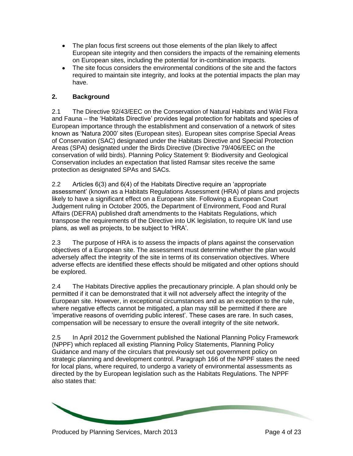- The plan focus first screens out those elements of the plan likely to affect European site integrity and then considers the impacts of the remaining elements on European sites, including the potential for in-combination impacts.
- The site focus considers the environmental conditions of the site and the factors required to maintain site integrity, and looks at the potential impacts the plan may have.

# **2. Background**

2.1 The Directive 92/43/EEC on the Conservation of Natural Habitats and Wild Flora and Fauna – the 'Habitats Directive' provides legal protection for habitats and species of European importance through the establishment and conservation of a network of sites known as 'Natura 2000' sites (European sites). European sites comprise Special Areas of Conservation (SAC) designated under the Habitats Directive and Special Protection Areas (SPA) designated under the Birds Directive (Directive 79/406/EEC on the conservation of wild birds). Planning Policy Statement 9: Biodiversity and Geological Conservation includes an expectation that listed Ramsar sites receive the same protection as designated SPAs and SACs.

2.2 Articles 6(3) and 6(4) of the Habitats Directive require an 'appropriate assessment' (known as a Habitats Regulations Assessment (HRA) of plans and projects likely to have a significant effect on a European site. Following a European Court Judgement ruling in October 2005, the Department of Environment, Food and Rural Affairs (DEFRA) published draft amendments to the Habitats Regulations, which transpose the requirements of the Directive into UK legislation, to require UK land use plans, as well as projects, to be subject to 'HRA'.

2.3 The purpose of HRA is to assess the impacts of plans against the conservation objectives of a European site. The assessment must determine whether the plan would adversely affect the integrity of the site in terms of its conservation objectives. Where adverse effects are identified these effects should be mitigated and other options should be explored.

2.4 The Habitats Directive applies the precautionary principle. A plan should only be permitted if it can be demonstrated that it will not adversely affect the integrity of the European site. However, in exceptional circumstances and as an exception to the rule, where negative effects cannot be mitigated, a plan may still be permitted if there are 'imperative reasons of overriding public interest'. These cases are rare. In such cases, compensation will be necessary to ensure the overall integrity of the site network.

2.5 In April 2012 the Government published the National Planning Policy Framework (NPPF) which replaced all existing Planning Policy Statements, Planning Policy Guidance and many of the circulars that previously set out government policy on strategic planning and development control. Paragraph 166 of the NPPF states the need for local plans, where required, to undergo a variety of environmental assessments as directed by the by European legislation such as the Habitats Regulations. The NPPF also states that:

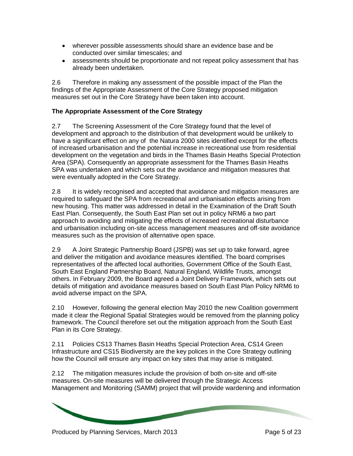- wherever possible assessments should share an evidence base and be conducted over similar timescales; and
- assessments should be proportionate and not repeat policy assessment that has already been undertaken.

2.6 Therefore in making any assessment of the possible impact of the Plan the findings of the Appropriate Assessment of the Core Strategy proposed mitigation measures set out in the Core Strategy have been taken into account.

# **The Appropriate Assessment of the Core Strategy**

2.7 The Screening Assessment of the Core Strategy found that the level of development and approach to the distribution of that development would be unlikely to have a significant effect on any of the Natura 2000 sites identified except for the effects of increased urbanisation and the potential increase in recreational use from residential development on the vegetation and birds in the Thames Basin Heaths Special Protection Area (SPA). Consequently an appropriate assessment for the Thames Basin Heaths SPA was undertaken and which sets out the avoidance and mitigation measures that were eventually adopted in the Core Strategy.

2.8 It is widely recognised and accepted that avoidance and mitigation measures are required to safeguard the SPA from recreational and urbanisation effects arising from new housing. This matter was addressed in detail in the Examination of the Draft South East Plan. Consequently, the South East Plan set out in policy NRM6 a two part approach to avoiding and mitigating the effects of increased recreational disturbance and urbanisation including on-site access management measures and off-site avoidance measures such as the provision of alternative open space.

2.9 A Joint Strategic Partnership Board (JSPB) was set up to take forward, agree and deliver the mitigation and avoidance measures identified. The board comprises representatives of the affected local authorities, Government Office of the South East, South East England Partnership Board, Natural England, Wildlife Trusts, amongst others. In February 2009, the Board agreed a Joint Delivery Framework, which sets out details of mitigation and avoidance measures based on South East Plan Policy NRM6 to avoid adverse impact on the SPA.

2.10 However, following the general election May 2010 the new Coalition government made it clear the Regional Spatial Strategies would be removed from the planning policy framework. The Council therefore set out the mitigation approach from the South East Plan in its Core Strategy.

2.11 Policies CS13 Thames Basin Heaths Special Protection Area, CS14 Green Infrastructure and CS15 Biodiversity are the key polices in the Core Strategy outlining how the Council will ensure any impact on key sites that may arise is mitigated.

2.12 The mitigation measures include the provision of both on-site and off-site measures. On-site measures will be delivered through the Strategic Access Management and Monitoring (SAMM) project that will provide wardening and information

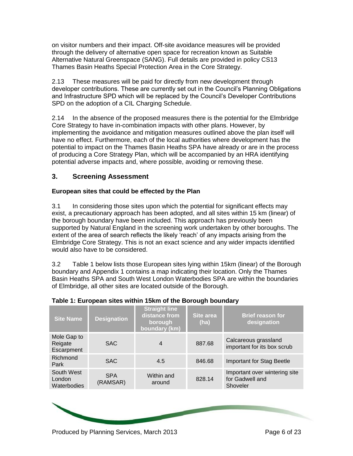on visitor numbers and their impact. Off-site avoidance measures will be provided through the delivery of alternative open space for recreation known as Suitable Alternative Natural Greenspace (SANG). Full details are provided in policy CS13 Thames Basin Heaths Special Protection Area in the Core Strategy.

2.13 These measures will be paid for directly from new development through developer contributions. These are currently set out in the Council's Planning Obligations and Infrastructure SPD which will be replaced by the Council's Developer Contributions SPD on the adoption of a CIL Charging Schedule.

2.14 In the absence of the proposed measures there is the potential for the Elmbridge Core Strategy to have in-combination impacts with other plans. However, by implementing the avoidance and mitigation measures outlined above the plan itself will have no effect. Furthermore, each of the local authorities where development has the potential to impact on the Thames Basin Heaths SPA have already or are in the process of producing a Core Strategy Plan, which will be accompanied by an HRA identifying potential adverse impacts and, where possible, avoiding or removing these.

# **3. Screening Assessment**

## **European sites that could be effected by the Plan**

3.1 In considering those sites upon which the potential for significant effects may exist, a precautionary approach has been adopted, and all sites within 15 km (linear) of the borough boundary have been included. This approach has previously been supported by Natural England in the screening work undertaken by other boroughs. The extent of the area of search reflects the likely 'reach' of any impacts arising from the Elmbridge Core Strategy. This is not an exact science and any wider impacts identified would also have to be considered.

3.2 Table 1 below lists those European sites lying within 15km (linear) of the Borough boundary and Appendix 1 contains a map indicating their location. Only the Thames Basin Heaths SPA and South West London Waterbodies SPA are within the boundaries of Elmbridge, all other sites are located outside of the Borough.

| <b>Site Name</b>                     | <b>Designation</b>     | <b>Straight line</b><br>distance from<br>borough<br>boundary (km) | Site area<br>(ha) | <b>Brief reason for</b><br>designation                       |
|--------------------------------------|------------------------|-------------------------------------------------------------------|-------------------|--------------------------------------------------------------|
| Mole Gap to<br>Reigate<br>Escarpment | <b>SAC</b>             | $\overline{4}$                                                    | 887.68            | Calcareous grassland<br>important for its box scrub          |
| Richmond<br>Park                     | <b>SAC</b>             | 4.5                                                               | 846.68            | <b>Important for Stag Beetle</b>                             |
| South West<br>London<br>Waterbodies  | <b>SPA</b><br>(RAMSAR) | Within and<br>around                                              | 828.14            | Important over wintering site<br>for Gadwell and<br>Shoveler |

#### **Table 1: European sites within 15km of the Borough boundary**

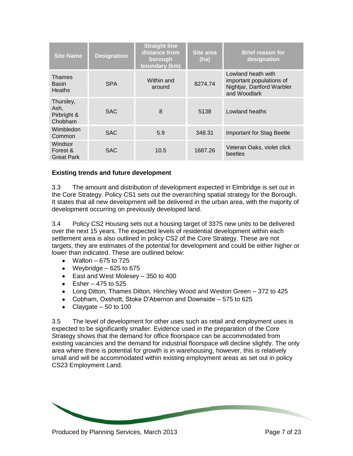| <b>Site Name</b>                            | <b>Designation</b> | <b>Straight line</b><br>distance from<br>borough<br>boundary (km) | Site area<br>(ha) | <b>Brief reason for</b><br>designation                                                       |
|---------------------------------------------|--------------------|-------------------------------------------------------------------|-------------------|----------------------------------------------------------------------------------------------|
| Thames<br><b>Basin</b><br><b>Heaths</b>     | <b>SPA</b>         | Within and<br>around                                              | 8274.74           | Lowland heath with<br>important populations of<br>Nightjar, Dartford Warbler<br>and Woodlark |
| Thursley,<br>Ash,<br>Pirbright &<br>Chobham | SAC.               | 8                                                                 | 5138              | Lowland heaths                                                                               |
| Wimbledon<br>Common                         | <b>SAC</b>         | 5.9                                                               | 348.31            | <b>Important for Stag Beetle</b>                                                             |
| Windsor<br>Forest &<br><b>Great Park</b>    | <b>SAC</b>         | 10.5                                                              | 1687.26           | Veteran Oaks, violet click<br>beetles                                                        |

#### **Existing trends and future development**

3.3 The amount and distribution of development expected in Elmbridge is set out in the Core Strategy. Policy CS1 sets out the overarching spatial strategy for the Borough. It states that all new development will be delivered in the urban area, with the majority of development occurring on previously developed land.

3.4 Policy CS2 Housing sets out a housing target of 3375 new units to be delivered over the next 15 years. The expected levels of residential development within each settlement area is also outlined in policy CS2 of the Core Strategy. These are not targets, they are estimates of the potential for development and could be either higher or lower than indicated. These are outlined below:

- $\bullet$  Walton 675 to 725
- $\bullet$  Weybridge 625 to 675
- East and West Molesey 350 to 400
- $\bullet$  Esher 475 to 525
- Long Ditton, Thames Ditton, Hinchley Wood and Weston Green 372 to 425
- Cobham, Oxshott, Stoke D'Abernon and Downside 575 to 625
- Claygate  $-50$  to 100

3.5 The level of development for other uses such as retail and employment uses is expected to be significantly smaller. Evidence used in the preparation of the Core Strategy shows that the demand for office floorspace can be accommodated from existing vacancies and the demand for industrial floorspace will decline slightly. The only area where there is potential for growth is in warehousing, however, this is relatively small and will be accommodated within existing employment areas as set out in policy CS23 Employment Land.

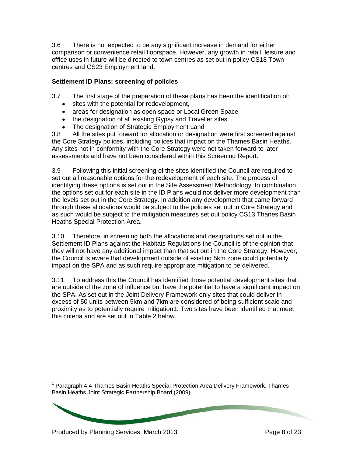3.6 There is not expected to be any significant increase in demand for either comparison or convenience retail floorspace. However, any growth in retail, leisure and office uses in future will be directed to town centres as set out in policy CS18 Town centres and CS23 Employment land.

## **Settlement ID Plans: screening of policies**

3.7 The first stage of the preparation of these plans has been the identification of:

- sites with the potential for redevelopment,
- areas for designation as open space or Local Green Space
- the designation of all existing Gypsy and Traveller sites
- The designation of Strategic Employment Land

3.8 All the sites put forward for allocation or designation were first screened against the Core Strategy polices, including polices that impact on the Thames Basin Heaths. Any sites not in conformity with the Core Strategy were not taken forward to later assessments and have not been considered within this Screening Report.

3.9 Following this initial screening of the sites identified the Council are required to set out all reasonable options for the redevelopment of each site. The process of identifying these options is set out in the Site Assessment Methodology. In combination the options set out for each site in the ID Plans would not deliver more development than the levels set out in the Core Strategy. In addition any development that came forward through these allocations would be subject to the policies set out in Core Strategy and as such would be subject to the mitigation measures set out policy CS13 Thanes Basin Heaths Special Protection Area.

3.10 Therefore, in screening both the allocations and designations set out in the Settlement ID Plans against the Habitats Regulations the Council is of the opinion that they will not have any additional impact than that set out in the Core Strategy. However, the Council is aware that development outside of existing 5km zone could potentially impact on the SPA and as such require appropriate mitigation to be delivered.

3.11 To address this the Council has identified those potential development sites that are outside of the zone of influence but have the potential to have a significant impact on the SPA. As set out in the Joint Delivery Framework only sites that could deliver in excess of 50 units between 5km and 7km are considered of being sufficient scale and proximity as to potentially require mitigation1. Two sites have been identified that meet this criteria and are set out in Table 2 below.

 $\overline{a}$ <sup>1</sup> Paragraph 4.4 Thames Basin Heaths Special Protection Area Delivery Framework. Thames Basin Heaths Joint Strategic Partnership Board (2009)

Produced by Planning Services, March 2013 **Produced by Page 8 of 23**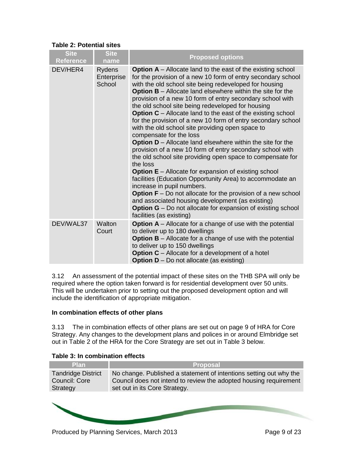| $\mathbf{R}$ apic $\mathbf{Z}$ . Totonual situs |                                       |                                                                                                                                                                                                                                                                                                                                                                                                                                                                                                                                                                                                                                                                                                                                                                                                                                                                                                                                                                                                                                                                                                                                                                                                                                       |
|-------------------------------------------------|---------------------------------------|---------------------------------------------------------------------------------------------------------------------------------------------------------------------------------------------------------------------------------------------------------------------------------------------------------------------------------------------------------------------------------------------------------------------------------------------------------------------------------------------------------------------------------------------------------------------------------------------------------------------------------------------------------------------------------------------------------------------------------------------------------------------------------------------------------------------------------------------------------------------------------------------------------------------------------------------------------------------------------------------------------------------------------------------------------------------------------------------------------------------------------------------------------------------------------------------------------------------------------------|
| <b>Site</b><br><b>Reference</b>                 | <b>Site</b><br>name                   | <b>Proposed options</b>                                                                                                                                                                                                                                                                                                                                                                                                                                                                                                                                                                                                                                                                                                                                                                                                                                                                                                                                                                                                                                                                                                                                                                                                               |
| DEV/HER4                                        | <b>Rydens</b><br>Enterprise<br>School | <b>Option A</b> – Allocate land to the east of the existing school<br>for the provision of a new 10 form of entry secondary school<br>with the old school site being redeveloped for housing<br><b>Option B</b> – Allocate land elsewhere within the site for the<br>provision of a new 10 form of entry secondary school with<br>the old school site being redeveloped for housing<br><b>Option C</b> – Allocate land to the east of the existing school<br>for the provision of a new 10 form of entry secondary school<br>with the old school site providing open space to<br>compensate for the loss<br><b>Option <math>D</math></b> – Allocate land elsewhere within the site for the<br>provision of a new 10 form of entry secondary school with<br>the old school site providing open space to compensate for<br>the loss<br><b>Option E</b> – Allocate for expansion of existing school<br>facilities (Education Opportunity Area) to accommodate an<br>increase in pupil numbers.<br><b>Option <math>F - Do</math></b> not allocate for the provision of a new school<br>and associated housing development (as existing)<br><b>Option G</b> – Do not allocate for expansion of existing school<br>facilities (as existing) |
| DEV/WAL37                                       | Walton<br>Court                       | <b>Option A</b> – Allocate for a change of use with the potential<br>to deliver up to 180 dwellings<br><b>Option B</b> – Allocate for a change of use with the potential<br>to deliver up to 150 dwellings<br><b>Option C</b> – Allocate for a development of a hotel<br><b>Option D</b> – Do not allocate (as existing)                                                                                                                                                                                                                                                                                                                                                                                                                                                                                                                                                                                                                                                                                                                                                                                                                                                                                                              |

#### **Table 2: Potential sites**

3.12 An assessment of the potential impact of these sites on the THB SPA will only be required where the option taken forward is for residential development over 50 units. This will be undertaken prior to setting out the proposed development option and will include the identification of appropriate mitigation.

#### **In combination effects of other plans**

3.13 The in combination effects of other plans are set out on page 9 of HRA for Core Strategy. Any changes to the development plans and polices in or around Elmbridge set out in Table 2 of the HRA for the Core Strategy are set out in Table 3 below.

| Lable 3: In combination effects                        |                                                                                                                                                                          |
|--------------------------------------------------------|--------------------------------------------------------------------------------------------------------------------------------------------------------------------------|
| <b>Plan</b>                                            | <b>Proposal</b>                                                                                                                                                          |
| <b>Tandridge District</b><br>Council: Core<br>Strategy | No change. Published a statement of intentions setting out why the<br>Council does not intend to review the adopted housing requirement<br>set out in its Core Strategy. |
|                                                        |                                                                                                                                                                          |

#### **Table 3: In combination effects**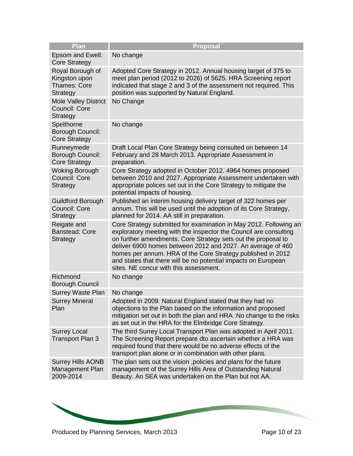| <b>Proposal</b>                                                                                                                                                                                                                                                                                                                                                                                                                                   |
|---------------------------------------------------------------------------------------------------------------------------------------------------------------------------------------------------------------------------------------------------------------------------------------------------------------------------------------------------------------------------------------------------------------------------------------------------|
| No change                                                                                                                                                                                                                                                                                                                                                                                                                                         |
| Adopted Core Strategy in 2012. Annual housing target of 375 to<br>meet plan period (2012 to 2026) of 5625. HRA Screening report<br>indicated that stage 2 and 3 of the assessment not required. This<br>position was supported by Natural England.                                                                                                                                                                                                |
| No Change                                                                                                                                                                                                                                                                                                                                                                                                                                         |
| No change                                                                                                                                                                                                                                                                                                                                                                                                                                         |
| Draft Local Plan Core Strategy being consulted on between 14<br>February and 28 March 2013. Appropriate Assessment in<br>preparation.                                                                                                                                                                                                                                                                                                             |
| Core Strategy adopted in October 2012. 4964 homes proposed<br>between 2010 and 2027. Appropriate Assessment undertaken with<br>appropriate polices set out in the Core Strategy to mitigate the<br>potential impacts of housing.                                                                                                                                                                                                                  |
| Published an interim housing delivery target of 322 homes per<br>annum. This will be used until the adoption of its Core Strategy,<br>planned for 2014. AA still in preparation.                                                                                                                                                                                                                                                                  |
| Core Strategy submitted for examination in May 2012. Following an<br>exploratory meeting with the inspector the Council are consulting<br>on further amendments. Core Strategy sets out the proposal to<br>deliver 6900 homes between 2012 and 2027. An average of 460<br>homes per annum. HRA of the Core Strategy published in 2012<br>and states that there will be no potential impacts on European<br>sites. NE concur with this assessment. |
| No change                                                                                                                                                                                                                                                                                                                                                                                                                                         |
| No change                                                                                                                                                                                                                                                                                                                                                                                                                                         |
| Adopted in 2009. Natural England stated that they had no<br>objections to the Plan based on the information and proposed<br>mitigation set out in both the plan and HRA. No change to the risks<br>as set out in the HRA for the Elmbridge Core Strategy.                                                                                                                                                                                         |
| The third Surrey Local Transport Plan was adopted in April 2011.<br>The Screening Report prepare dto ascertain whether a HRA was<br>required found that there would be no adverse effects of the<br>transport plan alone or in combination with other plans.                                                                                                                                                                                      |
| The plan sets out the vision, policies and plans for the future<br>management of the Surrey Hills Area of Outstanding Natural<br>Beauty. An SEA was undertaken on the Plan but not AA.                                                                                                                                                                                                                                                            |
|                                                                                                                                                                                                                                                                                                                                                                                                                                                   |

**Contract Contract Contract Contract Contract Contract Contract Contract Contract Contract Contract Contract Contract Contract Contract Contract Contract Contract Contract Contract Contract Contract Contract Contract Contr**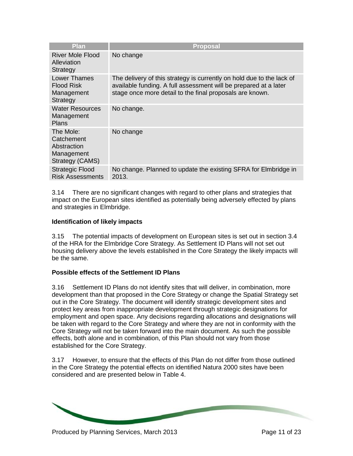| Plan                                                                    | <b>Proposal</b>                                                                                                                                                                                       |
|-------------------------------------------------------------------------|-------------------------------------------------------------------------------------------------------------------------------------------------------------------------------------------------------|
| River Mole Flood<br>Alleviation<br>Strategy                             | No change                                                                                                                                                                                             |
| <b>Lower Thames</b><br><b>Flood Risk</b><br>Management<br>Strategy      | The delivery of this strategy is currently on hold due to the lack of<br>available funding. A full assessment will be prepared at a later<br>stage once more detail to the final proposals are known. |
| Water Resources<br>Management<br><b>Plans</b>                           | No change.                                                                                                                                                                                            |
| The Mole:<br>Catchement<br>Abstraction<br>Management<br>Strategy (CAMS) | No change                                                                                                                                                                                             |
| <b>Strategic Flood</b><br><b>Risk Assessments</b>                       | No change. Planned to update the existing SFRA for Elmbridge in<br>2013.                                                                                                                              |

3.14 There are no significant changes with regard to other plans and strategies that impact on the European sites identified as potentially being adversely effected by plans and strategies in Elmbridge.

#### **Identification of likely impacts**

3.15 The potential impacts of development on European sites is set out in section 3.4 of the HRA for the Elmbridge Core Strategy. As Settlement ID Plans will not set out housing delivery above the levels established in the Core Strategy the likely impacts will be the same.

#### **Possible effects of the Settlement ID Plans**

3.16 Settlement ID Plans do not identify sites that will deliver, in combination, more development than that proposed in the Core Strategy or change the Spatial Strategy set out in the Core Strategy. The document will identify strategic development sites and protect key areas from inappropriate development through strategic designations for employment and open space. Any decisions regarding allocations and designations will be taken with regard to the Core Strategy and where they are not in conformity with the Core Strategy will not be taken forward into the main document. As such the possible effects, both alone and in combination, of this Plan should not vary from those established for the Core Strategy.

3.17 However, to ensure that the effects of this Plan do not differ from those outlined in the Core Strategy the potential effects on identified Natura 2000 sites have been considered and are presented below in Table 4.

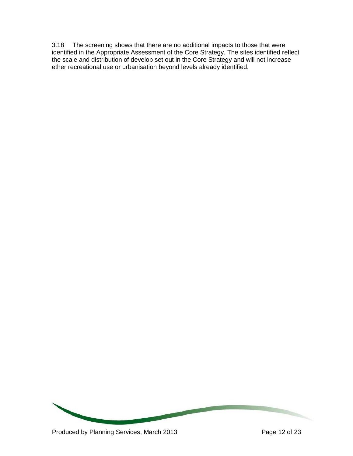3.18 The screening shows that there are no additional impacts to those that were identified in the Appropriate Assessment of the Core Strategy. The sites identified reflect the scale and distribution of develop set out in the Core Strategy and will not increase ether recreational use or urbanisation beyond levels already identified.

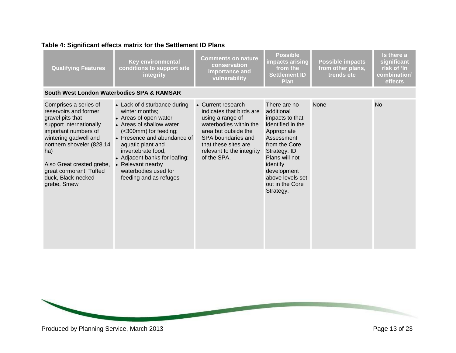|  |  | Table 4: Significant effects matrix for the Settlement ID Plans |  |
|--|--|-----------------------------------------------------------------|--|
|  |  |                                                                 |  |

| <b>Qualifying Features</b>                                                                                                                                                                                                                                                      | <b>Key environmental</b><br>conditions to support site<br>integrity                                                                                                                                                                                                                                            | <b>Comments on nature</b><br>conservation<br>importance and<br>vulnerability                                                                                                                                   | <b>Possible</b><br>impacts arising<br>from the<br>Settlement ID<br><b>Plan</b>                                                                                                                                                    | <b>Possible impacts</b><br>from other plans,<br>trends etc | Is there a<br>significant<br>risk of 'in<br>combination'<br>effects |
|---------------------------------------------------------------------------------------------------------------------------------------------------------------------------------------------------------------------------------------------------------------------------------|----------------------------------------------------------------------------------------------------------------------------------------------------------------------------------------------------------------------------------------------------------------------------------------------------------------|----------------------------------------------------------------------------------------------------------------------------------------------------------------------------------------------------------------|-----------------------------------------------------------------------------------------------------------------------------------------------------------------------------------------------------------------------------------|------------------------------------------------------------|---------------------------------------------------------------------|
| South West London Waterbodies SPA & RAMSAR                                                                                                                                                                                                                                      |                                                                                                                                                                                                                                                                                                                |                                                                                                                                                                                                                |                                                                                                                                                                                                                                   |                                                            |                                                                     |
| Comprises a series of<br>reservoirs and former<br>gravel pits that<br>support internationally<br>important numbers of<br>wintering gadwell and<br>northern shoveler (828.14<br>ha)<br>Also Great crested grebe,<br>great cormorant, Tufted<br>duck, Black-necked<br>grebe, Smew | • Lack of disturbance during<br>winter months;<br>• Areas of open water<br>• Areas of shallow water<br>(<300mm) for feeding;<br>• Presence and abundance of<br>aquatic plant and<br>invertebrate food;<br>• Adjacent banks for loafing;<br>• Relevant nearby<br>waterbodies used for<br>feeding and as refuges | • Current research<br>indicates that birds are<br>using a range of<br>waterbodies within the<br>area but outside the<br>SPA boundaries and<br>that these sites are<br>relevant to the integrity<br>of the SPA. | There are no<br>additional<br>impacts to that<br>identified in the<br>Appropriate<br>Assessment<br>from the Core<br>Strategy. ID<br>Plans will not<br>identify<br>development<br>above levels set<br>out in the Core<br>Strategy. | None                                                       | <b>No</b>                                                           |

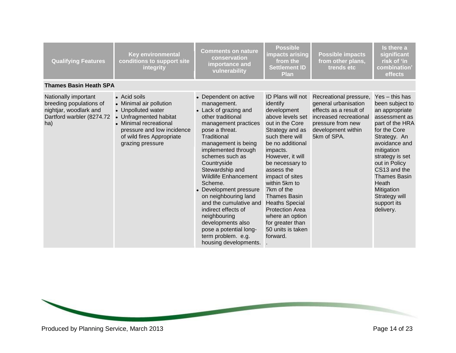| <b>Qualifying Features</b>                                                                                    | <b>Key environmental</b><br>conditions to support site<br>integrity                                                                                                                              | <b>Comments on nature</b><br>conservation<br>importance and<br>vulnerability                                                                                                                                                                                                                                                                                                                                                                                                                              | <b>Possible</b><br>impacts arising<br>from the<br><b>Settlement ID</b><br><b>Plan</b>                                                                                                                                                                                                                                                                                                                                     | <b>Possible impacts</b><br>from other plans,<br>trends etc                                                                                                   | Is there a<br>significant<br>risk of 'in<br>combination'<br>effects                                                                                                                                                                                                                                          |
|---------------------------------------------------------------------------------------------------------------|--------------------------------------------------------------------------------------------------------------------------------------------------------------------------------------------------|-----------------------------------------------------------------------------------------------------------------------------------------------------------------------------------------------------------------------------------------------------------------------------------------------------------------------------------------------------------------------------------------------------------------------------------------------------------------------------------------------------------|---------------------------------------------------------------------------------------------------------------------------------------------------------------------------------------------------------------------------------------------------------------------------------------------------------------------------------------------------------------------------------------------------------------------------|--------------------------------------------------------------------------------------------------------------------------------------------------------------|--------------------------------------------------------------------------------------------------------------------------------------------------------------------------------------------------------------------------------------------------------------------------------------------------------------|
| <b>Thames Basin Heath SPA</b>                                                                                 |                                                                                                                                                                                                  |                                                                                                                                                                                                                                                                                                                                                                                                                                                                                                           |                                                                                                                                                                                                                                                                                                                                                                                                                           |                                                                                                                                                              |                                                                                                                                                                                                                                                                                                              |
| Nationally important<br>breeding populations of<br>nightjar, woodlark and<br>Dartford warbler (8274.72<br>ha) | • Acid soils<br>• Minimal air pollution<br>• Unpolluted water<br>• Unfragmented habitat<br>• Minimal recreational<br>pressure and low incidence<br>of wild fires Appropriate<br>grazing pressure | • Dependent on active<br>management.<br>• Lack of grazing and<br>other traditional<br>management practices<br>pose a threat.<br>Traditional<br>management is being<br>implemented through<br>schemes such as<br>Countryside<br>Stewardship and<br><b>Wildlife Enhancement</b><br>Scheme.<br>• Development pressure<br>on neighbouring land<br>and the cumulative and<br>indirect effects of<br>neighbouring<br>developments also<br>pose a potential long-<br>term problem. e.g.<br>housing developments. | <b>ID Plans will not</b><br>identify<br>development<br>above levels set<br>out in the Core<br>Strategy and as<br>such there will<br>be no additional<br>impacts.<br>However, it will<br>be necessary to<br>assess the<br>impact of sites<br>within 5km to<br>7km of the<br><b>Thames Basin</b><br><b>Heaths Special</b><br><b>Protection Area</b><br>where an option<br>for greater than<br>50 units is taken<br>forward. | Recreational pressure,<br>general urbanisation<br>effects as a result of<br>increased recreational<br>pressure from new<br>development within<br>5km of SPA. | Yes - this has<br>been subject to<br>an appropriate<br>assessment as<br>part of the HRA<br>for the Core<br>Strategy. An<br>avoidance and<br>mitigation<br>strategy is set<br>out in Policy<br>CS13 and the<br><b>Thames Basin</b><br><b>Heath</b><br>Mitigation<br>Strategy will<br>support its<br>delivery. |

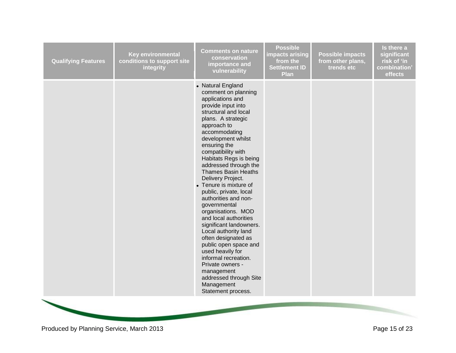| <b>Qualifying Features</b> | <b>Key environmental</b><br>conditions to support site<br>integrity | <b>Comments on nature</b><br>conservation<br>importance and<br>vulnerability                                                                                                                                                                                                                                                                                                                                                                                                                                                                                                                                                                                                                                                 | <b>Possible</b><br><b>impacts arising</b><br>from the<br><b>Settlement ID</b><br>Plan | <b>Possible impacts</b><br>from other plans,<br>trends etc | Is there a<br>significant<br>risk of 'in<br>combination'<br>effects |
|----------------------------|---------------------------------------------------------------------|------------------------------------------------------------------------------------------------------------------------------------------------------------------------------------------------------------------------------------------------------------------------------------------------------------------------------------------------------------------------------------------------------------------------------------------------------------------------------------------------------------------------------------------------------------------------------------------------------------------------------------------------------------------------------------------------------------------------------|---------------------------------------------------------------------------------------|------------------------------------------------------------|---------------------------------------------------------------------|
|                            |                                                                     | • Natural England<br>comment on planning<br>applications and<br>provide input into<br>structural and local<br>plans. A strategic<br>approach to<br>accommodating<br>development whilst<br>ensuring the<br>compatibility with<br>Habitats Regs is being<br>addressed through the<br><b>Thames Basin Heaths</b><br>Delivery Project.<br>• Tenure is mixture of<br>public, private, local<br>authorities and non-<br>governmental<br>organisations. MOD<br>and local authorities<br>significant landowners.<br>Local authority land<br>often designated as<br>public open space and<br>used heavily for<br>informal recreation.<br>Private owners -<br>management<br>addressed through Site<br>Management<br>Statement process. |                                                                                       |                                                            |                                                                     |
|                            |                                                                     |                                                                                                                                                                                                                                                                                                                                                                                                                                                                                                                                                                                                                                                                                                                              |                                                                                       |                                                            |                                                                     |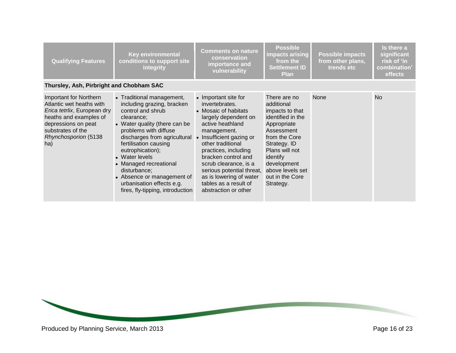| <b>Qualifying Features</b>                                                                                                                                                                    | <b>Key environmental</b><br>conditions to support site<br><b>integrity</b>                                                                                                                                                                                                                                                                                                                   | <b>Comments on nature</b><br>conservation<br>importance and<br>vulnerability                                                                                                                                                                                                                                                                                | <b>Possible</b><br>impacts arising<br>from the<br><b>Settlement ID</b><br><b>Plan</b>                                                                                                                                             | <b>Possible impacts</b><br>from other plans,<br>trends etc | Is there a<br>significant<br>risk of 'in<br>combination<br>effects |
|-----------------------------------------------------------------------------------------------------------------------------------------------------------------------------------------------|----------------------------------------------------------------------------------------------------------------------------------------------------------------------------------------------------------------------------------------------------------------------------------------------------------------------------------------------------------------------------------------------|-------------------------------------------------------------------------------------------------------------------------------------------------------------------------------------------------------------------------------------------------------------------------------------------------------------------------------------------------------------|-----------------------------------------------------------------------------------------------------------------------------------------------------------------------------------------------------------------------------------|------------------------------------------------------------|--------------------------------------------------------------------|
| Thursley, Ash, Pirbright and Chobham SAC                                                                                                                                                      |                                                                                                                                                                                                                                                                                                                                                                                              |                                                                                                                                                                                                                                                                                                                                                             |                                                                                                                                                                                                                                   |                                                            |                                                                    |
| Important for Northern<br>Atlantic wet heaths with<br>Erica tetrlix, European dry<br>heaths and examples of<br>depressions on peat<br>substrates of the<br><b>Rhynchosporion (5138</b><br>ha) | • Traditional management,<br>including grazing, bracken<br>control and shrub<br>clearance:<br>• Water quality (there can be<br>problems with diffuse<br>discharges from agricultural<br>fertilisation causing<br>eutrophication);<br>• Water levels<br>• Managed recreational<br>disturbance;<br>• Absence or management of<br>urbanisation effects e.g.<br>fires, fly-tipping, introduction | • Important site for<br>invertebrates.<br>• Mosaic of habitats<br>largely dependent on<br>active heathland<br>management.<br>• Insufficient gazing or<br>other traditional<br>practices, including<br>bracken control and<br>scrub clearance, is a<br>serious potential threat,<br>as is lowering of water<br>tables as a result of<br>abstraction or other | There are no<br>additional<br>impacts to that<br>identified in the<br>Appropriate<br>Assessment<br>from the Core<br>Strategy. ID<br>Plans will not<br>identify<br>development<br>above levels set<br>out in the Core<br>Strategy. | <b>None</b>                                                | <b>No</b>                                                          |

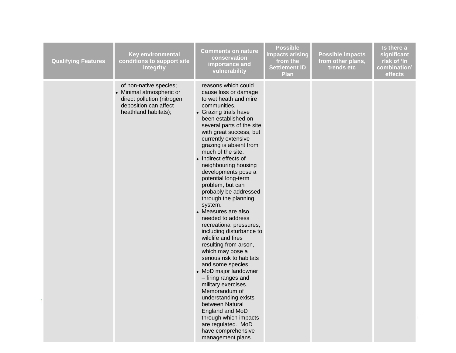| <b>Qualifying Features</b> | <b>Key environmental</b><br>conditions to support site<br>integrity                                                               | <b>Comments on nature</b><br>conservation<br>importance and<br>vulnerability                                                                                                                                                                                                                                                                                                                                                                                                                                                                                                                                                                                                                                                                                                                                                                                                                                             | <b>Possible</b><br>impacts arising<br>from the<br><b>Settlement ID</b><br><b>Plan</b> | <b>Possible impacts</b><br>from other plans,<br>trends etc | Is there a<br>significant<br>risk of 'in<br>combination'<br>effects |
|----------------------------|-----------------------------------------------------------------------------------------------------------------------------------|--------------------------------------------------------------------------------------------------------------------------------------------------------------------------------------------------------------------------------------------------------------------------------------------------------------------------------------------------------------------------------------------------------------------------------------------------------------------------------------------------------------------------------------------------------------------------------------------------------------------------------------------------------------------------------------------------------------------------------------------------------------------------------------------------------------------------------------------------------------------------------------------------------------------------|---------------------------------------------------------------------------------------|------------------------------------------------------------|---------------------------------------------------------------------|
|                            | of non-native species;<br>• Minimal atmospheric or<br>direct pollution (nitrogen<br>deposition can affect<br>heathland habitats); | reasons which could<br>cause loss or damage<br>to wet heath and mire<br>communities.<br>• Grazing trials have<br>been established on<br>several parts of the site<br>with great success, but<br>currently extensive<br>grazing is absent from<br>much of the site.<br>• Indirect effects of<br>neighbouring housing<br>developments pose a<br>potential long-term<br>problem, but can<br>probably be addressed<br>through the planning<br>system.<br>• Measures are also<br>needed to address<br>recreational pressures,<br>including disturbance to<br>wildlife and fires<br>resulting from arson,<br>which may pose a<br>serious risk to habitats<br>and some species.<br>• MoD major landowner<br>- firing ranges and<br>military exercises.<br>Memorandum of<br>understanding exists<br>between Natural<br>England and MoD<br>through which impacts<br>are regulated. MoD<br>have comprehensive<br>management plans. |                                                                                       |                                                            |                                                                     |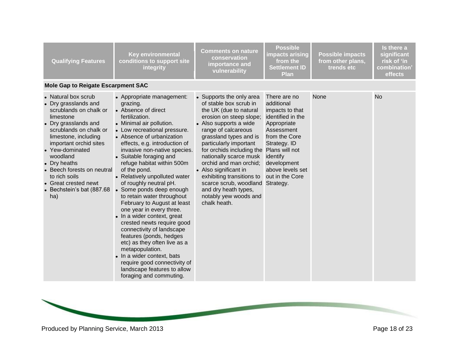| <b>Qualifying Features</b>                                                                                                                                                                                                                                                                                                             | <b>Key environmental</b><br>conditions to support site<br>integrity                                                                                                                                                                                                                                                                                                                                                                                                                                                                                                                                                                                                                                                                                                                               | <b>Comments on nature</b><br>conservation<br>importance and<br>vulnerability                                                                                                                                                                                                                                                                                                                                                                                  | <b>Possible</b><br>impacts arising<br>from the<br><b>Settlement ID</b><br><b>Plan</b>                                                                                                                           | <b>Possible impacts</b><br>from other plans,<br>trends etc | Is there a<br>significant<br>risk of 'in<br>combination<br>effects |
|----------------------------------------------------------------------------------------------------------------------------------------------------------------------------------------------------------------------------------------------------------------------------------------------------------------------------------------|---------------------------------------------------------------------------------------------------------------------------------------------------------------------------------------------------------------------------------------------------------------------------------------------------------------------------------------------------------------------------------------------------------------------------------------------------------------------------------------------------------------------------------------------------------------------------------------------------------------------------------------------------------------------------------------------------------------------------------------------------------------------------------------------------|---------------------------------------------------------------------------------------------------------------------------------------------------------------------------------------------------------------------------------------------------------------------------------------------------------------------------------------------------------------------------------------------------------------------------------------------------------------|-----------------------------------------------------------------------------------------------------------------------------------------------------------------------------------------------------------------|------------------------------------------------------------|--------------------------------------------------------------------|
| <b>Mole Gap to Reigate Escarpment SAC</b>                                                                                                                                                                                                                                                                                              |                                                                                                                                                                                                                                                                                                                                                                                                                                                                                                                                                                                                                                                                                                                                                                                                   |                                                                                                                                                                                                                                                                                                                                                                                                                                                               |                                                                                                                                                                                                                 |                                                            |                                                                    |
| • Natural box scrub<br>Dry grasslands and<br>scrublands on chalk or<br>limestone<br>• Dry grasslands and<br>scrublands on chalk or<br>limestone, including<br>important orchid sites<br>• Yew-dominated<br>woodland<br>Dry heaths<br>Beech forests on neutral<br>to rich soils<br>Great crested newt<br>Bechstein's bat (887.68<br>ha) | • Appropriate management:<br>grazing.<br>• Absence of direct<br>fertilization.<br>• Minimal air pollution.<br>• Low recreational pressure.<br>• Absence of urbanization<br>effects, e.g. introduction of<br>invasive non-native species.<br>• Suitable foraging and<br>refuge habitat within 500m<br>of the pond.<br>• Relatively unpolluted water<br>of roughly neutral pH.<br>• Some ponds deep enough<br>to retain water throughout<br>February to August at least<br>one year in every three.<br>• In a wider context, great<br>crested newts require good<br>connectivity of landscape<br>features (ponds, hedges<br>etc) as they often live as a<br>metapopulation.<br>• In a wider context, bats<br>require good connectivity of<br>landscape features to allow<br>foraging and commuting. | • Supports the only area<br>of stable box scrub in<br>the UK (due to natural<br>erosion on steep slope;<br>• Also supports a wide<br>range of calcareous<br>grassland types and is<br>particularly important<br>for orchids including the Plans will not<br>nationally scarce musk<br>orchid and man orchid;<br>• Also significant in<br>exhibiting transitions to<br>scarce scrub, woodland<br>and dry heath types,<br>notably yew woods and<br>chalk heath. | There are no<br>additional<br>impacts to that<br>identified in the<br>Appropriate<br>Assessment<br>from the Core<br>Strategy. ID<br>identify<br>development<br>above levels set<br>out in the Core<br>Strategy. | None                                                       | <b>No</b>                                                          |

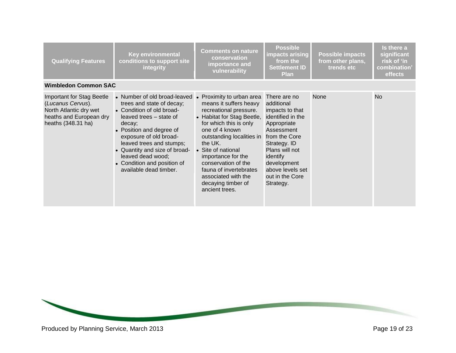| <b>Qualifying Features</b>                                                                                                       | <b>Key environmental</b><br>conditions to support site<br><b>integrity</b>                                                                                                                                                                                                                                                   | <b>Comments on nature</b><br>conservation<br>importance and<br>vulnerability                                                                                                                                                                                                                                                                                | <b>Possible</b><br>impacts arising<br>from the<br><b>Settlement ID</b><br><b>Plan</b>                                                                                                                                             | <b>Possible impacts</b><br>from other plans,<br>trends etc | Is there a<br>significant<br>risk of 'in<br>combination'<br>effects |
|----------------------------------------------------------------------------------------------------------------------------------|------------------------------------------------------------------------------------------------------------------------------------------------------------------------------------------------------------------------------------------------------------------------------------------------------------------------------|-------------------------------------------------------------------------------------------------------------------------------------------------------------------------------------------------------------------------------------------------------------------------------------------------------------------------------------------------------------|-----------------------------------------------------------------------------------------------------------------------------------------------------------------------------------------------------------------------------------|------------------------------------------------------------|---------------------------------------------------------------------|
| <b>Wimbledon Common SAC</b>                                                                                                      |                                                                                                                                                                                                                                                                                                                              |                                                                                                                                                                                                                                                                                                                                                             |                                                                                                                                                                                                                                   |                                                            |                                                                     |
| <b>Important for Stag Beetle</b><br>(Lucanus Cervus).<br>North Atlantic dry wet<br>heaths and European dry<br>heaths (348.31 ha) | • Number of old broad-leaved<br>trees and state of decay;<br>• Condition of old broad-<br>leaved trees – state of<br>decay;<br>• Position and degree of<br>exposure of old broad-<br>leaved trees and stumps;<br>• Quantity and size of broad-<br>leaved dead wood;<br>• Condition and position of<br>available dead timber. | • Proximity to urban area<br>means it suffers heavy<br>recreational pressure.<br>• Habitat for Stag Beetle,<br>for which this is only<br>one of 4 known<br>outstanding localities in<br>the UK.<br>• Site of national<br>importance for the<br>conservation of the<br>fauna of invertebrates<br>associated with the<br>decaying timber of<br>ancient trees. | There are no<br>additional<br>impacts to that<br>identified in the<br>Appropriate<br>Assessment<br>from the Core<br>Strategy. ID<br>Plans will not<br>identify<br>development<br>above levels set<br>out in the Core<br>Strategy. | None                                                       | <b>No</b>                                                           |

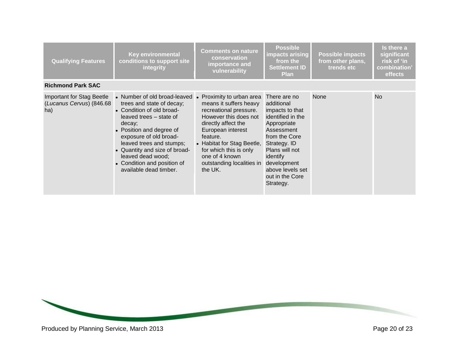| <b>Qualifying Features</b>                                          | <b>Key environmental</b><br>conditions to support site<br>integrity                                                                                                                                                                                                                                                          | <b>Comments on nature</b><br>conservation<br>importance and<br>vulnerability                                                                                                                                                                                                   | <b>Possible</b><br>impacts arising<br>from the<br><b>Settlement ID</b><br><b>Plan</b>                                                                                                                                             | <b>Possible impacts</b><br>from other plans,<br>trends etc | Is there a<br>significant<br>risk of 'in<br>combination<br>effects |
|---------------------------------------------------------------------|------------------------------------------------------------------------------------------------------------------------------------------------------------------------------------------------------------------------------------------------------------------------------------------------------------------------------|--------------------------------------------------------------------------------------------------------------------------------------------------------------------------------------------------------------------------------------------------------------------------------|-----------------------------------------------------------------------------------------------------------------------------------------------------------------------------------------------------------------------------------|------------------------------------------------------------|--------------------------------------------------------------------|
| <b>Richmond Park SAC</b>                                            |                                                                                                                                                                                                                                                                                                                              |                                                                                                                                                                                                                                                                                |                                                                                                                                                                                                                                   |                                                            |                                                                    |
| <b>Important for Stag Beetle</b><br>(Lucanus Cervus) (846.68<br>ha) | • Number of old broad-leaved<br>trees and state of decay;<br>• Condition of old broad-<br>leaved trees – state of<br>decay;<br>• Position and degree of<br>exposure of old broad-<br>leaved trees and stumps;<br>• Quantity and size of broad-<br>leaved dead wood;<br>• Condition and position of<br>available dead timber. | Proximity to urban area<br>means it suffers heavy<br>recreational pressure.<br>However this does not<br>directly affect the<br>European interest<br>feature.<br>• Habitat for Stag Beetle,<br>for which this is only<br>one of 4 known<br>outstanding localities in<br>the UK. | There are no<br>additional<br>impacts to that<br>identified in the<br>Appropriate<br>Assessment<br>from the Core<br>Strategy. ID<br>Plans will not<br>identify<br>development<br>above levels set<br>out in the Core<br>Strategy. | None                                                       | <b>No</b>                                                          |

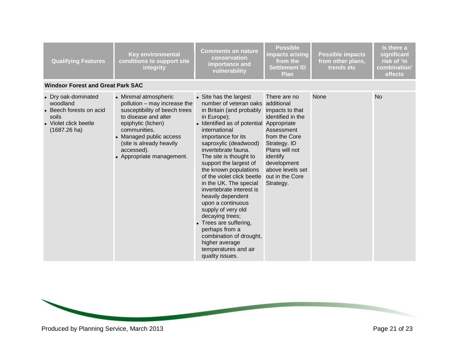| <b>Qualifying Features</b>                                                                                             | <b>Key environmental</b><br>conditions to support site<br>integrity                                                                                                                                                                                    | <b>Comments on nature</b><br>conservation<br>importance and<br>vulnerability                                                                                                                                                                                                                                                                                                                                                                                                                                                                                                                                                      | <b>Possible</b><br>impacts arising<br>from the<br><b>Settlement ID</b><br><b>Plan</b>                                                                                                                | <b>Possible impacts</b><br>from other plans,<br>trends etc | Is there a<br>significant<br>risk of 'in<br>combination'<br>effects |
|------------------------------------------------------------------------------------------------------------------------|--------------------------------------------------------------------------------------------------------------------------------------------------------------------------------------------------------------------------------------------------------|-----------------------------------------------------------------------------------------------------------------------------------------------------------------------------------------------------------------------------------------------------------------------------------------------------------------------------------------------------------------------------------------------------------------------------------------------------------------------------------------------------------------------------------------------------------------------------------------------------------------------------------|------------------------------------------------------------------------------------------------------------------------------------------------------------------------------------------------------|------------------------------------------------------------|---------------------------------------------------------------------|
| <b>Windsor Forest and Great Park SAC</b>                                                                               |                                                                                                                                                                                                                                                        |                                                                                                                                                                                                                                                                                                                                                                                                                                                                                                                                                                                                                                   |                                                                                                                                                                                                      |                                                            |                                                                     |
| • Dry oak-dominated<br>woodland<br>• Beech forests on acid<br>soils<br>• Violet click beetle<br>$(1687.26 \text{ ha})$ | • Minimal atmospheric<br>pollution - may increase the<br>susceptibility of beech trees<br>to disease and alter<br>epiphytic (lichen)<br>communities.<br>• Managed public access<br>(site is already heavily<br>accessed).<br>• Appropriate management. | • Site has the largest<br>number of veteran oaks additional<br>in Britain (and probably<br>in Europe);<br>• Identified as of potential Appropriate<br>international<br>importance for its<br>saproxylic (deadwood)<br>invertebrate fauna.<br>The site is thought to<br>support the largest of<br>the known populations<br>of the violet click beetle<br>in the UK. The special<br>invertebrate interest is<br>heavily dependent<br>upon a continuous<br>supply of very old<br>decaying trees;<br>• Trees are suffering,<br>perhaps from a<br>combination of drought,<br>higher average<br>temperatures and air<br>quality issues. | There are no<br>impacts to that<br>identified in the<br>Assessment<br>from the Core<br>Strategy. ID<br>Plans will not<br>identify<br>development<br>above levels set<br>out in the Core<br>Strategy. | None                                                       | <b>No</b>                                                           |

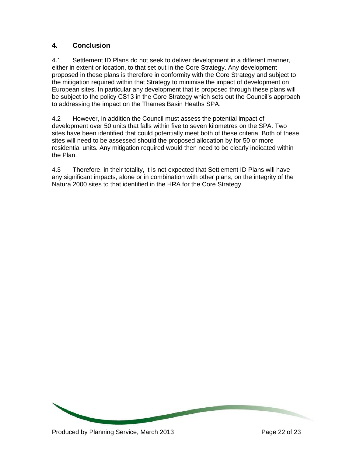# **4. Conclusion**

4.1 Settlement ID Plans do not seek to deliver development in a different manner, either in extent or location, to that set out in the Core Strategy. Any development proposed in these plans is therefore in conformity with the Core Strategy and subject to the mitigation required within that Strategy to minimise the impact of development on European sites. In particular any development that is proposed through these plans will be subject to the policy CS13 in the Core Strategy which sets out the Council's approach to addressing the impact on the Thames Basin Heaths SPA.

4.2 However, in addition the Council must assess the potential impact of development over 50 units that falls within five to seven kilometres on the SPA. Two sites have been identified that could potentially meet both of these criteria. Both of these sites will need to be assessed should the proposed allocation by for 50 or more residential units. Any mitigation required would then need to be clearly indicated within the Plan.

4.3 Therefore, in their totality, it is not expected that Settlement ID Plans will have any significant impacts, alone or in combination with other plans, on the integrity of the Natura 2000 sites to that identified in the HRA for the Core Strategy.